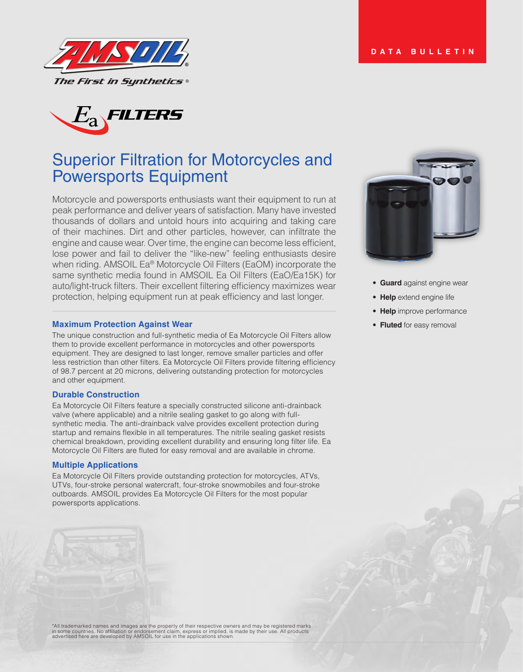



# Superior Filtration for Motorcycles and Powersports Equipment

Motorcycle and powersports enthusiasts want their equipment to run at peak performance and deliver years of satisfaction. Many have invested thousands of dollars and untold hours into acquiring and taking care of their machines. Dirt and other particles, however, can infiltrate the engine and cause wear. Over time, the engine can become less efficient, lose power and fail to deliver the "like-new" feeling enthusiasts desire when riding. AMSOIL Ea® Motorcycle Oil Filters (EaOM) incorporate the same synthetic media found in AMSOIL Ea Oil Filters (EaO/Ea15K) for auto/light-truck filters. Their excellent filtering efficiency maximizes wear protection, helping equipment run at peak efficiency and last longer.

#### **Maximum Protection Against Wear**

The unique construction and full-synthetic media of Ea Motorcycle Oil Filters allow them to provide excellent performance in motorcycles and other powersports equipment. They are designed to last longer, remove smaller particles and offer less restriction than other filters. Ea Motorcycle Oil Filters provide filtering efficiency of 98.7 percent at 20 microns, delivering outstanding protection for motorcycles and other equipment.

#### **Durable Construction**

Ea Motorcycle Oil Filters feature a specially constructed silicone anti-drainback valve (where applicable) and a nitrile sealing gasket to go along with fullsynthetic media. The anti-drainback valve provides excellent protection during startup and remains flexible in all temperatures. The nitrile sealing gasket resists chemical breakdown, providing excellent durability and ensuring long filter life. Ea Motorcycle Oil Filters are fluted for easy removal and are available in chrome.

#### **Multiple Applications**

Ea Motorcycle Oil Filters provide outstanding protection for motorcycles, ATVs, UTVs, four-stroke personal watercraft, four-stroke snowmobiles and four-stroke outboards. AMSOIL provides Ea Motorcycle Oil Filters for the most popular powersports applications.





- **Guard** against engine wear
- **Help** extend engine life
- **Help** improve performance
- **Fluted** for easy removal